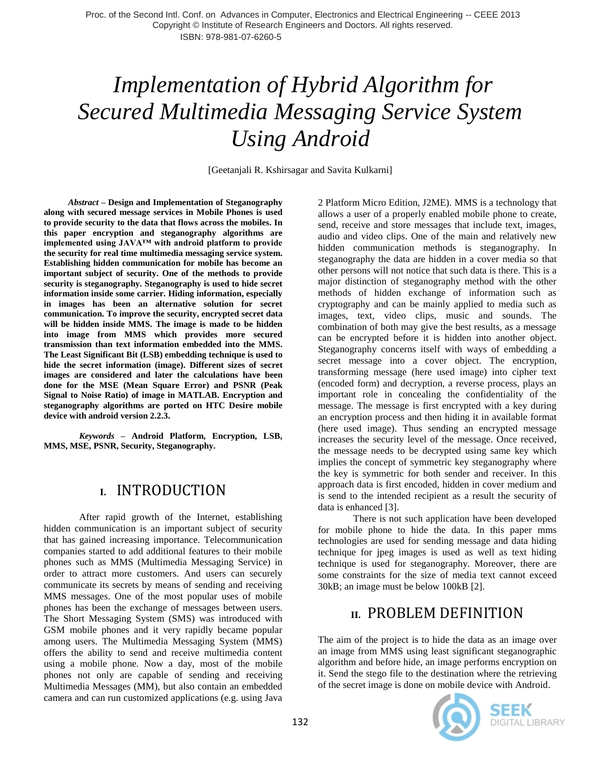# *Implementation of Hybrid Algorithm for Secured Multimedia Messaging Service System Using Android*

[Geetanjali R. Kshirsagar and Savita Kulkarni]

 *Abstract* **– Design and Implementation of Steganography along with secured message services in Mobile Phones is used to provide security to the data that flows across the mobiles. In this paper encryption and steganography algorithms are implemented using JAVA™ with android platform to provide the security for real time multimedia messaging service system. Establishing hidden communication for mobile has become an important subject of security. One of the methods to provide security is steganography. Steganography is used to hide secret information inside some carrier. Hiding information, especially in images has been an alternative solution for secret communication. To improve the security, encrypted secret data will be hidden inside MMS. The image is made to be hidden into image from MMS which provides more secured transmission than text information embedded into the MMS. The Least Significant Bit (LSB) embedding technique is used to hide the secret information (image). Different sizes of secret images are considered and later the calculations have been done for the MSE (Mean Square Error) and PSNR (Peak Signal to Noise Ratio) of image in MATLAB. Encryption and steganography algorithms are ported on HTC Desire mobile device with android version 2.2.3.** 

*Keywords* **– Android Platform, Encryption, LSB, MMS, MSE, PSNR, Security, Steganography.**

## **I.** INTRODUCTION

After rapid growth of the Internet, establishing hidden communication is an important subject of security that has gained increasing importance. Telecommunication companies started to add additional features to their mobile phones such as MMS (Multimedia Messaging Service) in order to attract more customers. And users can securely communicate its secrets by means of sending and receiving MMS messages. One of the most popular uses of mobile phones has been the exchange of messages between users. The Short Messaging System (SMS) was introduced with GSM mobile phones and it very rapidly became popular among users. The Multimedia Messaging System (MMS) offers the ability to send and receive multimedia content using a mobile phone. Now a day, most of the mobile phones not only are capable of sending and receiving Multimedia Messages (MM), but also contain an embedded camera and can run customized applications (e.g. using Java

2 Platform Micro Edition, J2ME). MMS is a technology that allows a user of a properly enabled mobile phone to create, send, receive and store messages that include text, images, audio and video clips. One of the main and relatively new hidden communication methods is steganography. In steganography the data are hidden in a cover media so that other persons will not notice that such data is there. This is a major distinction of steganography method with the other methods of hidden exchange of information such as cryptography and can be mainly applied to media such as images, text, video clips, music and sounds. The combination of both may give the best results, as a message can be encrypted before it is hidden into another object. Steganography concerns itself with ways of embedding a secret message into a cover object. The encryption, transforming message (here used image) into cipher text (encoded form) and decryption, a reverse process, plays an important role in concealing the confidentiality of the message. The message is first encrypted with a key during an encryption process and then hiding it in available format (here used image). Thus sending an encrypted message increases the security level of the message. Once received, the message needs to be decrypted using same key which implies the concept of symmetric key steganography where the key is symmetric for both sender and receiver. In this approach data is first encoded, hidden in cover medium and is send to the intended recipient as a result the security of data is enhanced [3].

There is not such application have been developed for mobile phone to hide the data. In this paper mms technologies are used for sending message and data hiding technique for jpeg images is used as well as text hiding technique is used for steganography. Moreover, there are some constraints for the size of media text cannot exceed 30kB; an image must be below 100kB [2].

# **II.** PROBLEM DEFINITION

The aim of the project is to hide the data as an image over an image from MMS using least significant steganographic algorithm and before hide, an image performs encryption on it. Send the stego file to the destination where the retrieving of the secret image is done on mobile device with Android.

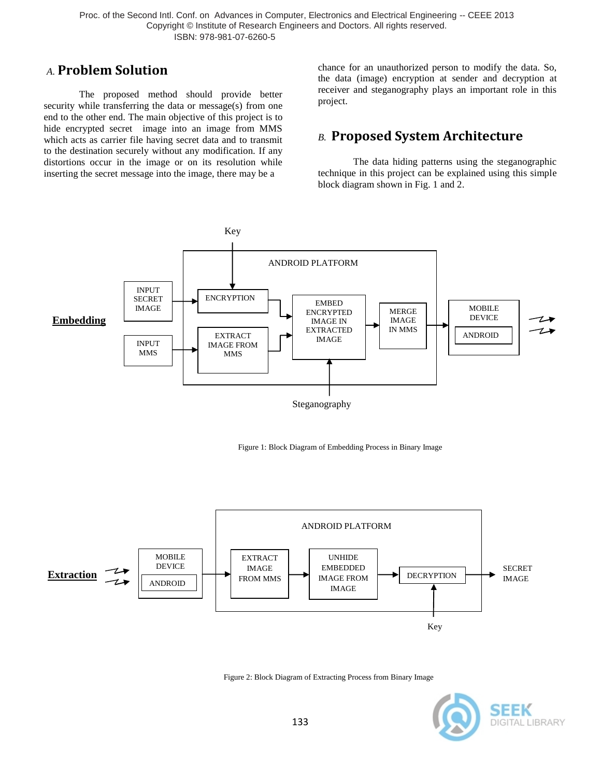### *A.* **Problem Solution**

The proposed method should provide better security while transferring the data or message(s) from one end to the other end. The main objective of this project is to hide encrypted secret image into an image from MMS which acts as carrier file having secret data and to transmit to the destination securely without any modification. If any distortions occur in the image or on its resolution while inserting the secret message into the image, there may be a

chance for an unauthorized person to modify the data. So, the data (image) encryption at sender and decryption at receiver and steganography plays an important role in this project.

## *B.* **Proposed System Architecture**

The data hiding patterns using the steganographic technique in this project can be explained using this simple block diagram shown in Fig. 1 and 2.







Figure 2: Block Diagram of Extracting Process from Binary Image

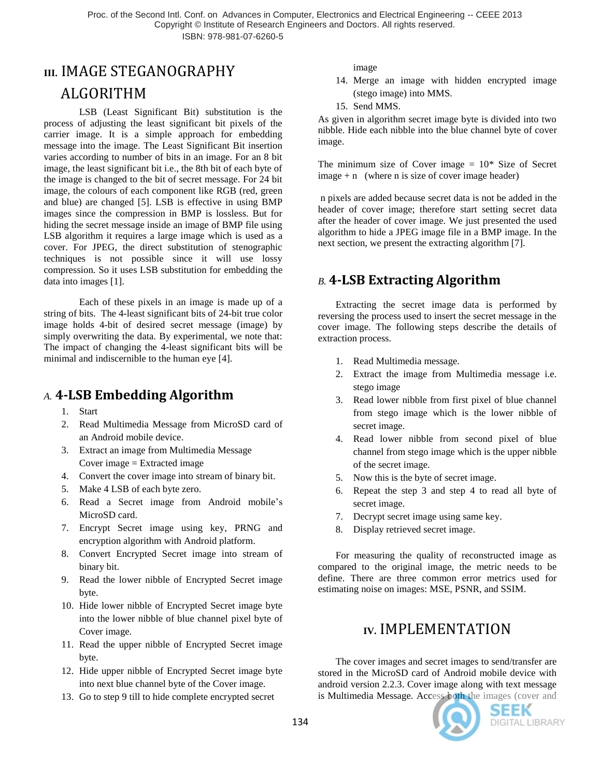# **III.** IMAGE STEGANOGRAPHY ALGORITHM

LSB (Least Significant Bit) substitution is the process of adjusting the least significant bit pixels of the carrier image. It is a simple approach for embedding message into the image. The Least Significant Bit insertion varies according to number of bits in an image. For an 8 bit image, the least significant bit i.e., the 8th bit of each byte of the image is changed to the bit of secret message. For 24 bit image, the colours of each component like RGB (red, green and blue) are changed [5]. LSB is effective in using BMP images since the compression in BMP is lossless. But for hiding the secret message inside an image of BMP file using LSB algorithm it requires a large image which is used as a cover. For JPEG, the direct substitution of stenographic techniques is not possible since it will use lossy compression. So it uses LSB substitution for embedding the data into images [1].

Each of these pixels in an image is made up of a string of bits. The 4-least significant bits of 24-bit true color image holds 4-bit of desired secret message (image) by simply overwriting the data. By experimental, we note that: The impact of changing the 4-least significant bits will be minimal and indiscernible to the human eye [4].

## *A.* **4-LSB Embedding Algorithm**

- 1. Start
- 2. Read Multimedia Message from MicroSD card of an Android mobile device.
- 3. Extract an image from Multimedia Message Cover image = Extracted image
- 4. Convert the cover image into stream of binary bit.
- 5. Make 4 LSB of each byte zero.
- 6. Read a Secret image from Android mobile's MicroSD card.
- 7. Encrypt Secret image using key, PRNG and encryption algorithm with Android platform.
- 8. Convert Encrypted Secret image into stream of binary bit.
- 9. Read the lower nibble of Encrypted Secret image byte.
- 10. Hide lower nibble of Encrypted Secret image byte into the lower nibble of blue channel pixel byte of Cover image.
- 11. Read the upper nibble of Encrypted Secret image byte.
- 12. Hide upper nibble of Encrypted Secret image byte into next blue channel byte of the Cover image.
- 13. Go to step 9 till to hide complete encrypted secret

image

- 14. Merge an image with hidden encrypted image (stego image) into MMS.
- 15. Send MMS.

As given in algorithm secret image byte is divided into two nibble. Hide each nibble into the blue channel byte of cover image.

The minimum size of Cover image  $= 10^*$  Size of Secret  $image + n$  (where n is size of cover image header)

n pixels are added because secret data is not be added in the header of cover image; therefore start setting secret data after the header of cover image. We just presented the used algorithm to hide a JPEG image file in a BMP image. In the next section, we present the extracting algorithm [7].

# *B.* **4-LSB Extracting Algorithm**

Extracting the secret image data is performed by reversing the process used to insert the secret message in the cover image. The following steps describe the details of extraction process.

- 1. Read Multimedia message.
- 2. Extract the image from Multimedia message i.e. stego image
- 3. Read lower nibble from first pixel of blue channel from stego image which is the lower nibble of secret image.
- 4. Read lower nibble from second pixel of blue channel from stego image which is the upper nibble of the secret image.
- 5. Now this is the byte of secret image.
- 6. Repeat the step 3 and step 4 to read all byte of secret image.
- 7. Decrypt secret image using same key.
- 8. Display retrieved secret image.

For measuring the quality of reconstructed image as compared to the original image, the metric needs to be define. There are three common error metrics used for estimating noise on images: MSE, PSNR, and SSIM.

# **IV.** IMPLEMENTATION

The cover images and secret images to send/transfer are stored in the MicroSD card of Android mobile device with android version 2.2.3. Cover image along with text message is Multimedia Message. Access both the images (cover and

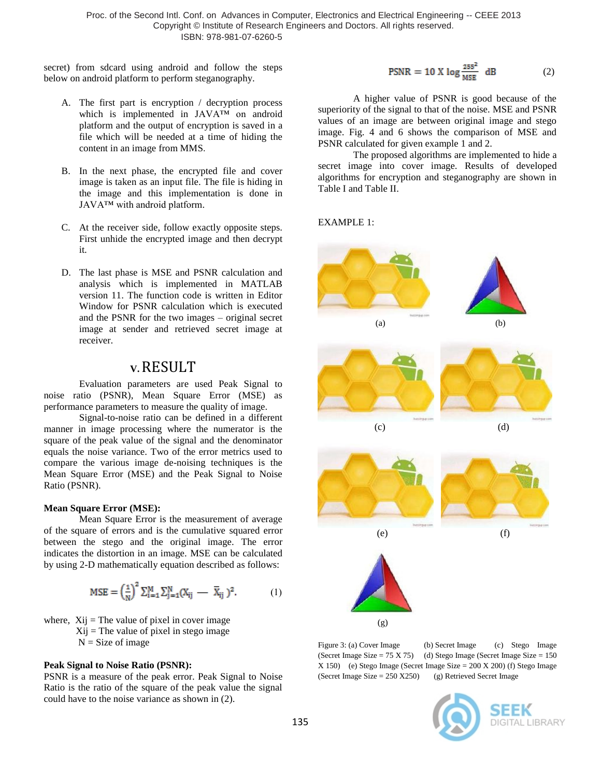secret) from sdcard using android and follow the steps below on android platform to perform steganography.

- A. The first part is encryption / decryption process which is implemented in JAVA™ on android platform and the output of encryption is saved in a file which will be needed at a time of hiding the content in an image from MMS.
- B. In the next phase, the encrypted file and cover image is taken as an input file. The file is hiding in the image and this implementation is done in JAVA™ with android platform.
- C. At the receiver side, follow exactly opposite steps. First unhide the encrypted image and then decrypt it.
- D. The last phase is MSE and PSNR calculation and analysis which is implemented in MATLAB version 11. The function code is written in Editor Window for PSNR calculation which is executed and the PSNR for the two images – original secret image at sender and retrieved secret image at receiver.

#### **V.**RESULT

Evaluation parameters are used Peak Signal to noise ratio (PSNR), Mean Square Error (MSE) as performance parameters to measure the quality of image.

Signal-to-noise ratio can be defined in a different manner in image processing where the numerator is the square of the peak value of the signal and the denominator equals the noise variance. Two of the error metrics used to compare the various image de-noising techniques is the Mean Square Error (MSE) and the Peak Signal to Noise Ratio (PSNR).

#### **Mean Square Error (MSE):**

Mean Square Error is the measurement of average of the square of errors and is the cumulative squared error between the stego and the original image. The error indicates the distortion in an image. MSE can be calculated by using 2-D mathematically equation described as follows:

$$
MSE = \left(\frac{1}{N}\right)^2 \sum_{i=1}^{M} \sum_{j=1}^{N} (X_{ij} - \overline{X}_{ij})^2.
$$
 (1)

where,  $Xij$  = The value of pixel in cover image  $X_{ij}$  = The value of pixel in stego image  $N = Size of image$ 

#### **Peak Signal to Noise Ratio (PSNR):**

PSNR is a measure of the peak error. Peak Signal to Noise Ratio is the ratio of the square of the peak value the signal could have to the noise variance as shown in (2).

$$
PSNR = 10 \text{ X} \log \frac{255^2}{MSE} \text{ dB} \qquad (2)
$$

A higher value of PSNR is good because of the superiority of the signal to that of the noise. MSE and PSNR values of an image are between original image and stego image. Fig. 4 and 6 shows the comparison of MSE and PSNR calculated for given example 1 and 2.

The proposed algorithms are implemented to hide a secret image into cover image. Results of developed algorithms for encryption and steganography are shown in Table I and Table II.

EXAMPLE 1:



Figure 3: (a) Cover Image (b) Secret Image (c) Stego Image (Secret Image Size =  $75 X 75$ ) (d) Stego Image (Secret Image Size =  $150$  $X 150$  (e) Stego Image (Secret Image Size = 200 X 200) (f) Stego Image (Secret Image Size =  $250 X250$ ) (g) Retrieved Secret Image

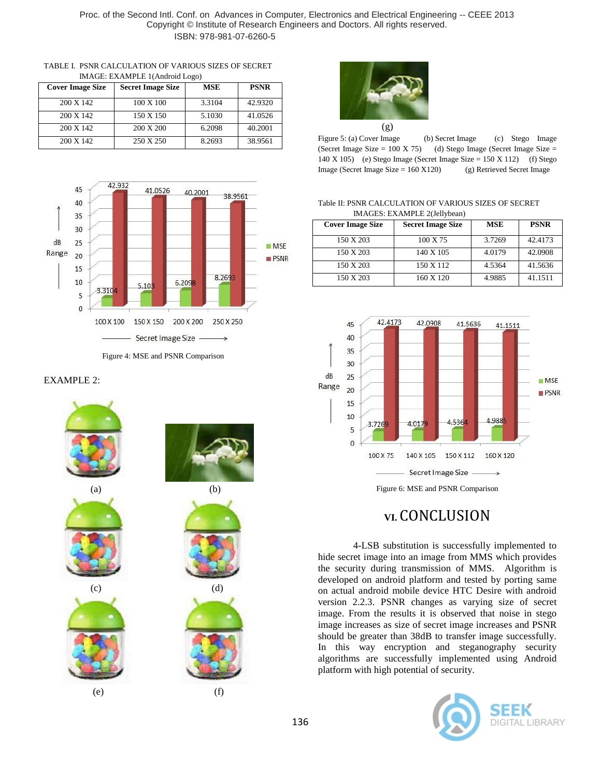| TABLE I. PSNR CALCULATION OF VARIOUS SIZES OF SECRET |
|------------------------------------------------------|
| IMAGE: EXAMPLE 1(Android Logo)                       |

| <b>Cover Image Size</b> | <b>Secret Image Size</b> | <b>MSE</b> | <b>PSNR</b> |
|-------------------------|--------------------------|------------|-------------|
| 200 X 142               | 100 X 100                | 3.3104     | 42.9320     |
| 200 X 142               | 150 X 150                | 5.1030     | 41.0526     |
| 200 X 142               | 200 X 200                | 6.2098     | 40.2001     |
| 200 X 142               | 250 X 250                | 8.2693     | 38.9561     |



Figure 4: MSE and PSNR Comparison

#### EXAMPLE 2:





Figure 5: (a) Cover Image (b) Secret Image (c) Stego Image (Secret Image Size =  $100 \text{ X } 75$ ) (d) Stego Image (Secret Image Size = 140 X 105) (e) Stego Image (Secret Image Size = 150 X 112) (f) Stego Image (Secret Image Size = 160 X120) (g) Retrieved Secret Image

#### Table II: PSNR CALCULATION OF VARIOUS SIZES OF SECRET IMAGES: EXAMPLE 2(Jellybean)

| <b>Cover Image Size</b> | <b>Secret Image Size</b> | <b>MSE</b> | <b>PSNR</b> |
|-------------------------|--------------------------|------------|-------------|
| 150 X 203               | 100 X 75                 | 3.7269     | 42.4173     |
| 150 X 203               | 140 X 105                | 4.0179     | 42.0908     |
| 150 X 203               | 150 X 112                | 4.5364     | 41.5636     |
| 150 X 203               | 160 X 120                | 4.9885     | 41.1511     |



Figure 6: MSE and PSNR Comparison

## **VI.** CONCLUSION

4-LSB substitution is successfully implemented to hide secret image into an image from MMS which provides the security during transmission of MMS. Algorithm is developed on android platform and tested by porting same on actual android mobile device HTC Desire with android version 2.2.3. PSNR changes as varying size of secret image. From the results it is observed that noise in stego image increases as size of secret image increases and PSNR should be greater than 38dB to transfer image successfully. In this way encryption and steganography security algorithms are successfully implemented using Android platform with high potential of security.